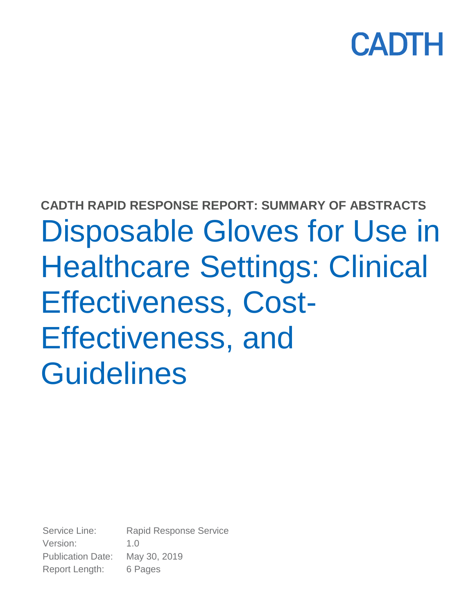

# **CADTH RAPID RESPONSE REPORT: SUMMARY OF ABSTRACTS** Disposable Gloves for Use in Healthcare Settings: Clinical Effectiveness, Cost-Effectiveness, and **Guidelines**

Service Line: Rapid Response Service Version: 1.0 Publication Date: May 30, 2019 Report Length: 6 Pages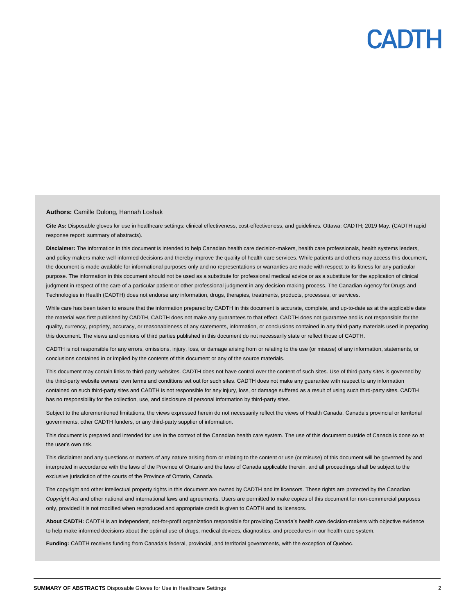#### **Authors:** Camille Dulong, Hannah Loshak

**Cite As:** Disposable gloves for use in healthcare settings: clinical effectiveness, cost-effectiveness, and guidelines*.* Ottawa: CADTH; 2019 May. (CADTH rapid response report: summary of abstracts).

**Disclaimer:** The information in this document is intended to help Canadian health care decision-makers, health care professionals, health systems leaders, and policy-makers make well-informed decisions and thereby improve the quality of health care services. While patients and others may access this document, the document is made available for informational purposes only and no representations or warranties are made with respect to its fitness for any particular purpose. The information in this document should not be used as a substitute for professional medical advice or as a substitute for the application of clinical judgment in respect of the care of a particular patient or other professional judgment in any decision-making process. The Canadian Agency for Drugs and Technologies in Health (CADTH) does not endorse any information, drugs, therapies, treatments, products, processes, or services.

While care has been taken to ensure that the information prepared by CADTH in this document is accurate, complete, and up-to-date as at the applicable date the material was first published by CADTH, CADTH does not make any guarantees to that effect. CADTH does not guarantee and is not responsible for the quality, currency, propriety, accuracy, or reasonableness of any statements, information, or conclusions contained in any third-party materials used in preparing this document. The views and opinions of third parties published in this document do not necessarily state or reflect those of CADTH.

CADTH is not responsible for any errors, omissions, injury, loss, or damage arising from or relating to the use (or misuse) of any information, statements, or conclusions contained in or implied by the contents of this document or any of the source materials.

This document may contain links to third-party websites. CADTH does not have control over the content of such sites. Use of third-party sites is governed by the third-party website owners' own terms and conditions set out for such sites. CADTH does not make any guarantee with respect to any information contained on such third-party sites and CADTH is not responsible for any injury, loss, or damage suffered as a result of using such third-party sites. CADTH has no responsibility for the collection, use, and disclosure of personal information by third-party sites.

Subject to the aforementioned limitations, the views expressed herein do not necessarily reflect the views of Health Canada, Canada's provincial or territorial governments, other CADTH funders, or any third-party supplier of information.

This document is prepared and intended for use in the context of the Canadian health care system. The use of this document outside of Canada is done so at the user's own risk.

This disclaimer and any questions or matters of any nature arising from or relating to the content or use (or misuse) of this document will be governed by and interpreted in accordance with the laws of the Province of Ontario and the laws of Canada applicable therein, and all proceedings shall be subject to the exclusive jurisdiction of the courts of the Province of Ontario, Canada.

The copyright and other intellectual property rights in this document are owned by CADTH and its licensors. These rights are protected by the Canadian *Copyright Act* and other national and international laws and agreements. Users are permitted to make copies of this document for non-commercial purposes only, provided it is not modified when reproduced and appropriate credit is given to CADTH and its licensors.

**About CADTH:** CADTH is an independent, not-for-profit organization responsible for providing Canada's health care decision-makers with objective evidence to help make informed decisions about the optimal use of drugs, medical devices, diagnostics, and procedures in our health care system.

**Funding:** CADTH receives funding from Canada's federal, provincial, and territorial governments, with the exception of Quebec.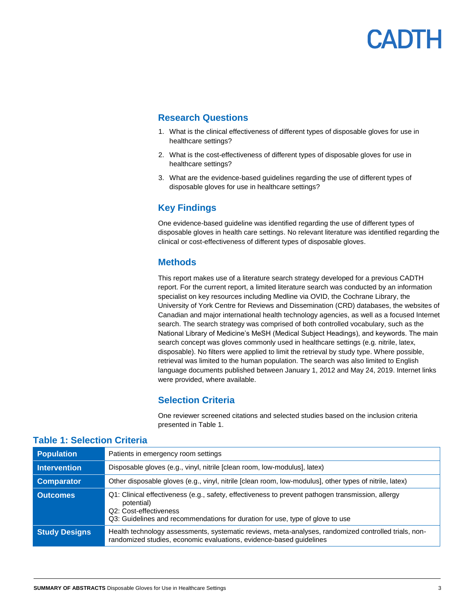### **Research Questions**

- 1. What is the clinical effectiveness of different types of disposable gloves for use in healthcare settings?
- 2. What is the cost-effectiveness of different types of disposable gloves for use in healthcare settings?
- 3. What are the evidence-based guidelines regarding the use of different types of disposable gloves for use in healthcare settings?

## **Key Findings**

One evidence-based guideline was identified regarding the use of different types of disposable gloves in health care settings. No relevant literature was identified regarding the clinical or cost-effectiveness of different types of disposable gloves.

### **Methods**

This report makes use of a literature search strategy developed for a previous CADTH report. For the current report, a limited literature search was conducted by an information specialist on key resources including Medline via OVID, the Cochrane Library, the University of York Centre for Reviews and Dissemination (CRD) databases, the websites of Canadian and major international health technology agencies, as well as a focused Internet search. The search strategy was comprised of both controlled vocabulary, such as the National Library of Medicine's MeSH (Medical Subject Headings), and keywords. The main search concept was gloves commonly used in healthcare settings (e.g. nitrile, latex, disposable). No filters were applied to limit the retrieval by study type. Where possible, retrieval was limited to the human population. The search was also limited to English language documents published between January 1, 2012 and May 24, 2019. Internet links were provided, where available.

### **Selection Criteria**

One reviewer screened citations and selected studies based on the inclusion criteria presented in Table 1.

| <b>Population</b>    | Patients in emergency room settings                                                                                                                                                                                        |
|----------------------|----------------------------------------------------------------------------------------------------------------------------------------------------------------------------------------------------------------------------|
| <b>Intervention</b>  | Disposable gloves (e.g., vinyl, nitrile [clean room, low-modulus], latex)                                                                                                                                                  |
| <b>Comparator</b>    | Other disposable gloves (e.g., vinyl, nitrile [clean room, low-modulus], other types of nitrile, latex)                                                                                                                    |
| <b>Outcomes</b>      | Q1: Clinical effectiveness (e.g., safety, effectiveness to prevent pathogen transmission, allergy<br>potential)<br>Q2: Cost-effectiveness<br>Q3: Guidelines and recommendations for duration for use, type of glove to use |
| <b>Study Designs</b> | Health technology assessments, systematic reviews, meta-analyses, randomized controlled trials, non-<br>randomized studies, economic evaluations, evidence-based guidelines                                                |

### **Table 1: Selection Criteria**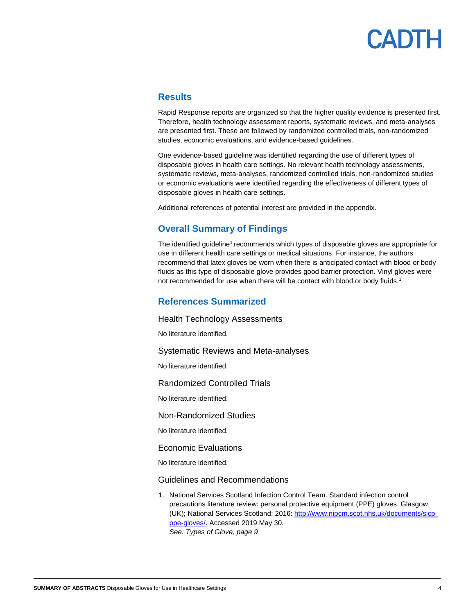### **Results**

Rapid Response reports are organized so that the higher quality evidence is presented first. Therefore, health technology assessment reports, systematic reviews, and meta-analyses are presented first. These are followed by randomized controlled trials, non-randomized studies, economic evaluations, and evidence-based guidelines.

One evidence-based guideline was identified regarding the use of different types of disposable gloves in health care settings. No relevant health technology assessments, systematic reviews, meta-analyses, randomized controlled trials, non-randomized studies or economic evaluations were identified regarding the effectiveness of different types of disposable gloves in health care settings.

Additional references of potential interest are provided in the appendix.

### **Overall Summary of Findings**

The identified guideline<sup>1</sup> recommends which types of disposable gloves are appropriate for use in different health care settings or medical situations. For instance, the authors recommend that latex gloves be worn when there is anticipated contact with blood or body fluids as this type of disposable glove provides good barrier protection. Vinyl gloves were not recommended for use when there will be contact with blood or body fluids.<sup>1</sup>

#### **References Summarized**

Health Technology Assessments

No literature identified.

Systematic Reviews and Meta-analyses

No literature identified.

Randomized Controlled Trials

No literature identified.

Non-Randomized Studies

No literature identified.

Economic Evaluations

No literature identified.

Guidelines and Recommendations

1. National Services Scotland Infection Control Team. Standard infection control precautions literature review: personal protective equipment (PPE) gloves. Glasgow (UK); National Services Scotland; 2016: [http://www.nipcm.scot.nhs.uk/documents/sicp](http://www.nipcm.scot.nhs.uk/documents/sicp-ppe-gloves/)[ppe-gloves/.](http://www.nipcm.scot.nhs.uk/documents/sicp-ppe-gloves/) Accessed 2019 May 30. *See: Types of Glove, page 9*

**SUMMARY OF ABSTRACTS** Disposable Gloves for Use in Healthcare Settings 4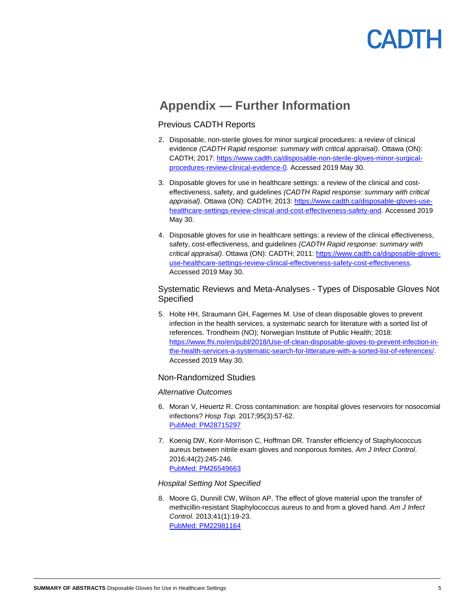# **Appendix — Further Information**

#### Previous CADTH Reports

- 2. Disposable, non-sterile gloves for minor surgical procedures: a review of clinical evidence *(CADTH Rapid response: summary with critical appraisal)*. Ottawa (ON): CADTH; 2017: [https://www.cadth.ca/disposable-non-sterile-gloves-minor-surgical](https://www.cadth.ca/disposable-non-sterile-gloves-minor-surgical-procedures-review-clinical-evidence-0)[procedures-review-clinical-evidence-0.](https://www.cadth.ca/disposable-non-sterile-gloves-minor-surgical-procedures-review-clinical-evidence-0) Accessed 2019 May 30.
- 3. Disposable gloves for use in healthcare settings: a review of the clinical and costeffectiveness, safety, and guidelines *(CADTH Rapid response: summary with critical appraisal)*. Ottawa (ON): CADTH; 2013: [https://www.cadth.ca/disposable-gloves-use](https://www.cadth.ca/disposable-gloves-use-healthcare-settings-review-clinical-and-cost-effectiveness-safety-and)[healthcare-settings-review-clinical-and-cost-effectiveness-safety-and.](https://www.cadth.ca/disposable-gloves-use-healthcare-settings-review-clinical-and-cost-effectiveness-safety-and) Accessed 2019 May 30.
- 4. Disposable gloves for use in healthcare settings: a review of the clinical effectiveness, safety, cost-effectiveness, and guidelines *(CADTH Rapid response: summary with critical appraisal)*. Ottawa (ON): CADTH; 2011: [https://www.cadth.ca/disposable-gloves](https://www.cadth.ca/disposable-gloves-use-healthcare-settings-review-clinical-effectiveness-safety-cost-effectiveness)[use-healthcare-settings-review-clinical-effectiveness-safety-cost-effectiveness.](https://www.cadth.ca/disposable-gloves-use-healthcare-settings-review-clinical-effectiveness-safety-cost-effectiveness) Accessed 2019 May 30.

#### Systematic Reviews and Meta-Analyses - Types of Disposable Gloves Not **Specified**

5. Holte HH, Straumann GH, Fagernes M. Use of clean disposable gloves to prevent infection in the health services, a systematic search for literature with a sorted list of references. Trondheim (NO); Norwegian Institute of Public Health; 2018: [https://www.fhi.no/en/publ/2018/Use-of-clean-disposable-gloves-to-prevent-infection-in](https://www.fhi.no/en/publ/2018/Use-of-clean-disposable-gloves-to-prevent-infection-in-the-health-services-a-systematic-search-for-litterature-with-a-sorted-list-of-references/)[the-health-services-a-systematic-search-for-litterature-with-a-sorted-list-of-references/.](https://www.fhi.no/en/publ/2018/Use-of-clean-disposable-gloves-to-prevent-infection-in-the-health-services-a-systematic-search-for-litterature-with-a-sorted-list-of-references/) Accessed 2019 May 30.

#### Non-Randomized Studies

#### *Alternative Outcomes*

- 6. Moran V, Heuertz R. Cross contamination: are hospital gloves reservoirs for nosocomial infections? *Hosp Top*. 2017;95(3):57-62. [PubMed: PM28715297](http://www.ncbi.nlm.nih.gov/pubmed/28715297)
- 7. Koenig DW, Korir-Morrison C, Hoffman DR. Transfer efficiency of Staphylococcus aureus between nitrile exam gloves and nonporous fomites. *Am J Infect Control*. 2016;44(2):245-246. [PubMed: PM26549663](http://www.ncbi.nlm.nih.gov/pubmed/26549663)

#### *Hospital Setting Not Specified*

8. Moore G, Dunnill CW, Wilson AP. The effect of glove material upon the transfer of methicillin-resistant Staphylococcus aureus to and from a gloved hand. *Am J Infect Control*. 2013;41(1):19-23. [PubMed: PM22981164](http://www.ncbi.nlm.nih.gov/pubmed/22981164)